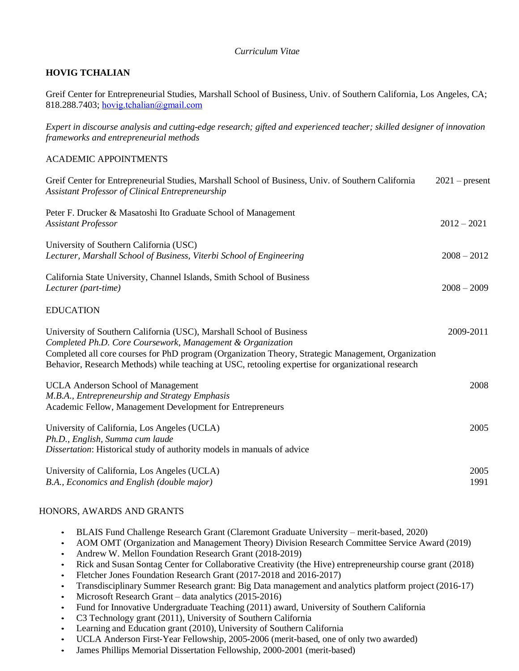# *Curriculum Vitae*

# **HOVIG TCHALIAN**

Greif Center for Entrepreneurial Studies, Marshall School of Business, Univ. of Southern California, Los Angeles, CA; 818.288.7403; [hovig.tchalian@gmail.com](mailto:hovig.tchalian@gmail.com)

*Expert in discourse analysis and cutting-edge research; gifted and experienced teacher; skilled designer of innovation frameworks and entrepreneurial methods*

## ACADEMIC APPOINTMENTS

| Greif Center for Entrepreneurial Studies, Marshall School of Business, Univ. of Southern California<br>Assistant Professor of Clinical Entrepreneurship                                                                                                                                                                                         | $2021$ – present |
|-------------------------------------------------------------------------------------------------------------------------------------------------------------------------------------------------------------------------------------------------------------------------------------------------------------------------------------------------|------------------|
| Peter F. Drucker & Masatoshi Ito Graduate School of Management<br><b>Assistant Professor</b>                                                                                                                                                                                                                                                    | $2012 - 2021$    |
| University of Southern California (USC)<br>Lecturer, Marshall School of Business, Viterbi School of Engineering                                                                                                                                                                                                                                 | $2008 - 2012$    |
| California State University, Channel Islands, Smith School of Business<br>Lecturer (part-time)                                                                                                                                                                                                                                                  | $2008 - 2009$    |
| <b>EDUCATION</b>                                                                                                                                                                                                                                                                                                                                |                  |
| University of Southern California (USC), Marshall School of Business<br>Completed Ph.D. Core Coursework, Management & Organization<br>Completed all core courses for PhD program (Organization Theory, Strategic Management, Organization<br>Behavior, Research Methods) while teaching at USC, retooling expertise for organizational research | 2009-2011        |
| <b>UCLA Anderson School of Management</b><br>M.B.A., Entrepreneurship and Strategy Emphasis<br>Academic Fellow, Management Development for Entrepreneurs                                                                                                                                                                                        | 2008             |
| University of California, Los Angeles (UCLA)<br>Ph.D., English, Summa cum laude<br>Dissertation: Historical study of authority models in manuals of advice                                                                                                                                                                                      | 2005             |
| University of California, Los Angeles (UCLA)<br>B.A., Economics and English (double major)                                                                                                                                                                                                                                                      | 2005<br>1991     |

### HONORS, AWARDS AND GRANTS

- BLAIS Fund Challenge Research Grant (Claremont Graduate University merit-based, 2020)
- AOM OMT (Organization and Management Theory) Division Research Committee Service Award (2019)
- Andrew W. Mellon Foundation Research Grant (2018-2019)
- Rick and Susan Sontag Center for Collaborative Creativity (the Hive) entrepreneurship course grant (2018)
- Fletcher Jones Foundation Research Grant (2017-2018 and 2016-2017)
- Transdisciplinary Summer Research grant: Big Data management and analytics platform project (2016-17)
- Microsoft Research Grant data analytics (2015-2016)
- Fund for Innovative Undergraduate Teaching (2011) award, University of Southern California
- C3 Technology grant (2011), University of Southern California
- Learning and Education grant (2010), University of Southern California
- UCLA Anderson First-Year Fellowship, 2005-2006 (merit-based, one of only two awarded)
- James Phillips Memorial Dissertation Fellowship, 2000-2001 (merit-based)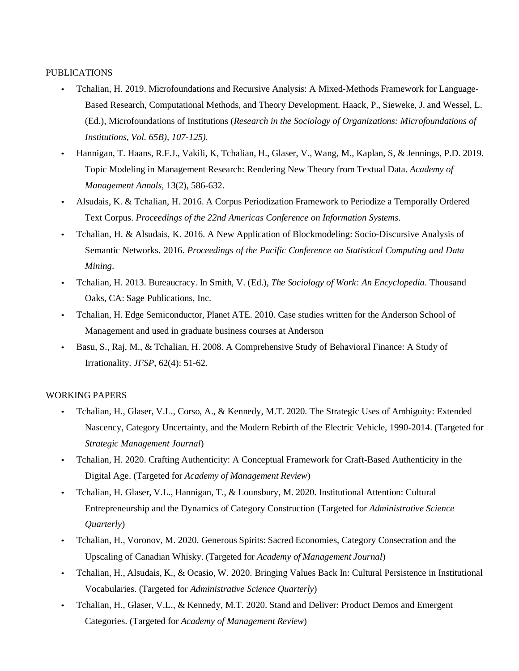# PUBLICATIONS

- Tchalian, H. 2019. Microfoundations and Recursive Analysis: A Mixed-Methods Framework for Language-Based Research, Computational Methods, and Theory Development. Haack, P., Sieweke, J. and Wessel, L. (Ed.), Microfoundations of Institutions (*Research in the Sociology of Organizations: Microfoundations of Institutions, Vol. 65B), 107-125).*
- Hannigan, T. Haans, R.F.J., Vakili, K, Tchalian, H., Glaser, V., Wang, M., Kaplan, S, & Jennings, P.D. 2019. Topic Modeling in Management Research: Rendering New Theory from Textual Data. *Academy of Management Annals*, 13(2), 586-632.
- Alsudais, K. & Tchalian, H. 2016. A Corpus Periodization Framework to Periodize a Temporally Ordered Text Corpus. *Proceedings of the 22nd Americas Conference on Information Systems*.
- Tchalian, H. & Alsudais, K. 2016. A New Application of Blockmodeling: Socio-Discursive Analysis of Semantic Networks. 2016. *Proceedings of the Pacific Conference on Statistical Computing and Data Mining*.
- Tchalian, H. 2013. Bureaucracy. In Smith, V. (Ed.), *The Sociology of Work: An Encyclopedia*. Thousand Oaks, CA: Sage Publications, Inc.
- Tchalian, H. Edge Semiconductor, Planet ATE. 2010. Case studies written for the Anderson School of Management and used in graduate business courses at Anderson
- Basu, S., Raj, M., & Tchalian, H. 2008. A Comprehensive Study of Behavioral Finance: A Study of Irrationality. *JFSP*, 62(4): 51-62.

### WORKING PAPERS

- Tchalian, H., Glaser, V.L., Corso, A., & Kennedy, M.T. 2020. The Strategic Uses of Ambiguity: Extended Nascency, Category Uncertainty, and the Modern Rebirth of the Electric Vehicle, 1990-2014. (Targeted for *Strategic Management Journal*)
- Tchalian, H. 2020. Crafting Authenticity: A Conceptual Framework for Craft-Based Authenticity in the Digital Age. (Targeted for *Academy of Management Review*)
- Tchalian, H. Glaser, V.L., Hannigan, T., & Lounsbury, M. 2020. Institutional Attention: Cultural Entrepreneurship and the Dynamics of Category Construction (Targeted for *Administrative Science Quarterly*)
- Tchalian, H., Voronov, M. 2020. Generous Spirits: Sacred Economies, Category Consecration and the Upscaling of Canadian Whisky. (Targeted for *Academy of Management Journal*)
- Tchalian, H., Alsudais, K., & Ocasio, W. 2020. Bringing Values Back In: Cultural Persistence in Institutional Vocabularies. (Targeted for *Administrative Science Quarterly*)
- Tchalian, H., Glaser, V.L., & Kennedy, M.T. 2020. Stand and Deliver: Product Demos and Emergent Categories. (Targeted for *Academy of Management Review*)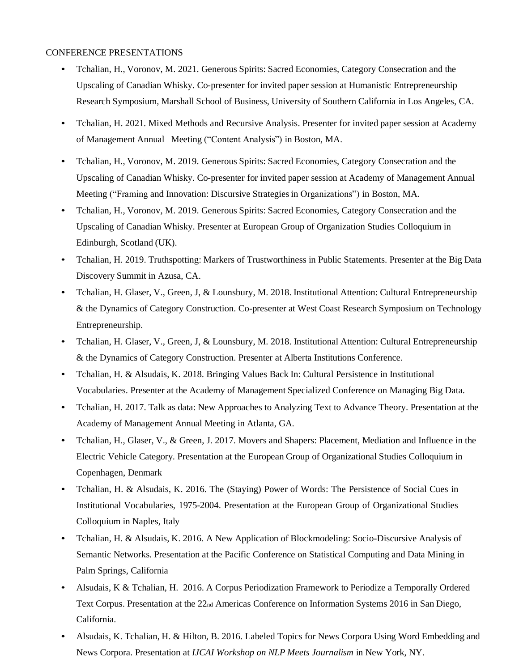## CONFERENCE PRESENTATIONS

- Tchalian, H., Voronov, M. 2021. Generous Spirits: Sacred Economies, Category Consecration and the Upscaling of Canadian Whisky. Co-presenter for invited paper session at Humanistic Entrepreneurship Research Symposium, Marshall School of Business, University of Southern California in Los Angeles, CA.
- Tchalian, H. 2021. Mixed Methods and Recursive Analysis. Presenter for invited paper session at Academy of Management Annual Meeting ("Content Analysis") in Boston, MA.
- Tchalian, H., Voronov, M. 2019. Generous Spirits: Sacred Economies, Category Consecration and the Upscaling of Canadian Whisky. Co-presenter for invited paper session at Academy of Management Annual Meeting ("Framing and Innovation: Discursive Strategiesin Organizations") in Boston, MA.
- Tchalian, H., Voronov, M. 2019. Generous Spirits: Sacred Economies, Category Consecration and the Upscaling of Canadian Whisky. Presenter at European Group of Organization Studies Colloquium in Edinburgh, Scotland (UK).
- Tchalian, H. 2019. Truthspotting: Markers of Trustworthiness in Public Statements. Presenter at the Big Data Discovery Summit in Azusa, CA.
- Tchalian, H. Glaser, V., Green, J, & Lounsbury, M. 2018. Institutional Attention: Cultural Entrepreneurship & the Dynamics of Category Construction. Co-presenter at West Coast Research Symposium on Technology Entrepreneurship.
- Tchalian, H. Glaser, V., Green, J, & Lounsbury, M. 2018. Institutional Attention: Cultural Entrepreneurship & the Dynamics of Category Construction. Presenter at Alberta Institutions Conference.
- Tchalian, H. & Alsudais, K. 2018. Bringing Values Back In: Cultural Persistence in Institutional Vocabularies. Presenter at the Academy of Management Specialized Conference on Managing Big Data.
- Tchalian, H. 2017. Talk as data: New Approaches to Analyzing Text to Advance Theory. Presentation at the Academy of Management Annual Meeting in Atlanta, GA.
- Tchalian, H., Glaser, V., & Green, J. 2017. Movers and Shapers: Placement, Mediation and Influence in the Electric Vehicle Category. Presentation at the European Group of Organizational Studies Colloquium in Copenhagen, Denmark
- Tchalian, H. & Alsudais, K. 2016. The (Staying) Power of Words: The Persistence of Social Cues in Institutional Vocabularies, 1975-2004. Presentation at the European Group of Organizational Studies Colloquium in Naples, Italy
- Tchalian, H. & Alsudais, K. 2016. A New Application of Blockmodeling: Socio-Discursive Analysis of Semantic Networks. Presentation at the Pacific Conference on Statistical Computing and Data Mining in Palm Springs, California
- Alsudais, K & Tchalian, H. 2016. A Corpus Periodization Framework to Periodize a Temporally Ordered Text Corpus. Presentation at the 22nd Americas Conference on Information Systems 2016 in San Diego, California.
- Alsudais, K. Tchalian, H. & Hilton, B. 2016. Labeled Topics for News Corpora Using Word Embedding and News Corpora. Presentation at *IJCAI Workshop on NLP Meets Journalism* in New York, NY.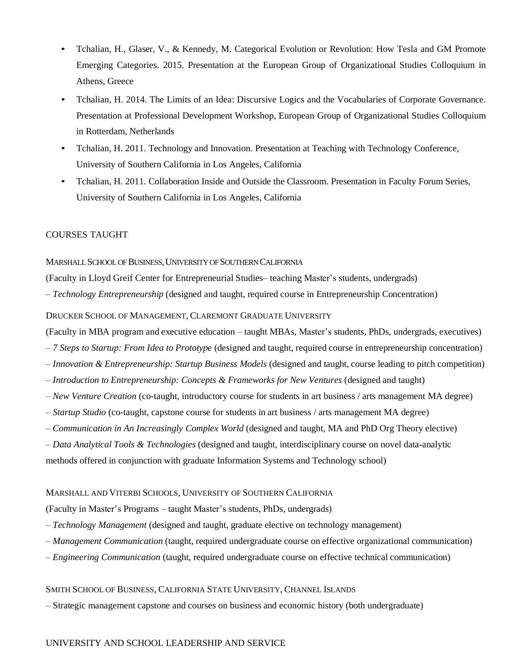- Tchalian, H., Glaser, V., & Kennedy, M. Categorical Evolution or Revolution: How Tesla and GM Promote Emerging Categories. 2015. Presentation at the European Group of Organizational Studies Colloquium in Athens, Greece
- Tchalian, H. 2014. The Limits of an Idea: Discursive Logics and the Vocabularies of Corporate Governance. Presentation at Professional Development Workshop, European Group of Organizational Studies Colloquium in Rotterdam, Netherlands
- Tchalian, H. 2011. Technology and Innovation. Presentation at Teaching with Technology Conference, University of Southern California in Los Angeles, California
- Tchalian, H. 2011. Collaboration Inside and Outside the Classroom. Presentation in Faculty Forum Series, University of Southern California in Los Angeles, California

# COURSES TAUGHT

## MARSHALL SCHOOL OF BUSINESS,UNIVERSITY OF SOUTHERN CALIFORNIA

(Faculty in Lloyd Greif Center for Entrepreneurial Studies– teaching Master's students, undergrads)

*– Technology Entrepreneurship* (designed and taught, required course in Entrepreneurship Concentration)

## DRUCKER SCHOOL OF MANAGEMENT, CLAREMONT GRADUATE UNIVERSITY

(Faculty in MBA program and executive education – taught MBAs, Master's students, PhDs, undergrads, executives)

- *– 7 Steps to Startup: From Idea to Prototype* (designed and taught, required course in entrepreneurship concentration)
- *– Innovation & Entrepreneurship: Startup Business Models* (designed and taught, course leading to pitch competition)
- *– Introduction to Entrepreneurship: Concepts & Frameworks for New Ventures* (designed and taught)
- *– New Venture Creation* (co-taught, introductory course for students in art business / arts management MA degree)
- *– Startup Studio* (co-taught, capstone course for students in art business / arts management MA degree)
- *– Communication in An Increasingly Complex World* (designed and taught, MA and PhD Org Theory elective)
- *– Data Analytical Tools & Technologies* (designed and taught, interdisciplinary course on novel data-analytic

methods offered in conjunction with graduate Information Systems and Technology school)

### MARSHALL AND VITERBI SCHOOLS, UNIVERSITY OF SOUTHERN CALIFORNIA

(Faculty in Master's Programs – taught Master's students, PhDs, undergrads)

- *– Technology Management* (designed and taught, graduate elective on technology management)
- *– Management Communication* (taught, required undergraduate course on effective organizational communication)
- *– Engineering Communication* (taught, required undergraduate course on effective technical communication)

### SMITH SCHOOL OF BUSINESS, CALIFORNIA STATE UNIVERSITY, CHANNEL ISLANDS

*–* Strategic management capstone and courses on business and economic history (both undergraduate)

# UNIVERSITY AND SCHOOL LEADERSHIP AND SERVICE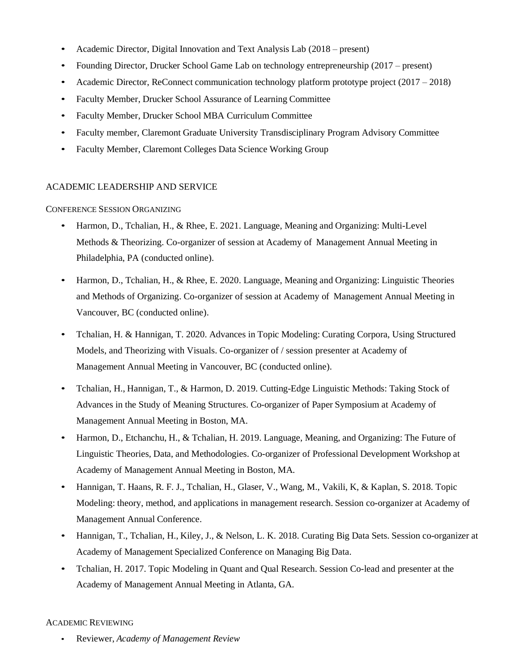- Academic Director, Digital Innovation and Text Analysis Lab (2018 present)
- Founding Director, Drucker School Game Lab on technology entrepreneurship (2017 present)
- Academic Director, ReConnect communication technology platform prototype project (2017 2018)
- Faculty Member, Drucker School Assurance of Learning Committee
- Faculty Member, Drucker School MBA Curriculum Committee
- Faculty member, Claremont Graduate University Transdisciplinary Program Advisory Committee
- Faculty Member, Claremont Colleges Data Science Working Group

# ACADEMIC LEADERSHIP AND SERVICE

# CONFERENCE SESSION ORGANIZING

- Harmon, D., Tchalian, H., & Rhee, E. 2021. Language, Meaning and Organizing: Multi-Level Methods & Theorizing. Co-organizer of session at Academy of Management Annual Meeting in Philadelphia, PA (conducted online).
- Harmon, D., Tchalian, H., & Rhee, E. 2020. Language, Meaning and Organizing: Linguistic Theories and Methods of Organizing. Co-organizer of session at Academy of Management Annual Meeting in Vancouver, BC (conducted online).
- Tchalian, H. & Hannigan, T. 2020. Advances in Topic Modeling: Curating Corpora, Using Structured Models, and Theorizing with Visuals. Co-organizer of / session presenter at Academy of Management Annual Meeting in Vancouver, BC (conducted online).
- Tchalian, H., Hannigan, T., & Harmon, D. 2019. Cutting-Edge Linguistic Methods: Taking Stock of Advances in the Study of Meaning Structures. Co-organizer of Paper Symposium at Academy of Management Annual Meeting in Boston, MA.
- Harmon, D., Etchanchu, H., & Tchalian, H. 2019. Language, Meaning, and Organizing: The Future of Linguistic Theories, Data, and Methodologies. Co-organizer of Professional Development Workshop at Academy of Management Annual Meeting in Boston, MA.
- Hannigan, T. Haans, R. F. J., Tchalian, H., Glaser, V., Wang, M., Vakili, K, & Kaplan, S. 2018. Topic Modeling: theory, method, and applications in management research. Session co-organizer at Academy of Management Annual Conference.
- Hannigan, T., Tchalian, H., Kiley, J., & Nelson, L. K. 2018. Curating Big Data Sets. Session co-organizer at Academy of Management Specialized Conference on Managing Big Data.
- Tchalian, H. 2017. Topic Modeling in Quant and Qual Research. Session Co-lead and presenter at the Academy of Management Annual Meeting in Atlanta, GA.

# ACADEMIC REVIEWING

• Reviewer, *Academy of Management Review*